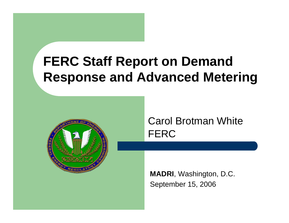# **FERC Staff Report on Demand Response and Advanced Metering**



### Carol Brotman WhiteFERC

**MADRI**, Washington, D.C. September 15, 2006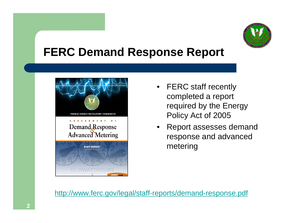

## **FERC Demand Response Report**



- FERC staff recently completed a report required by the Energy Policy Act of 2005
- • Report assesses demand response and advanced metering

<http://www.ferc.gov/legal/staff-reports/demand-response.pdf>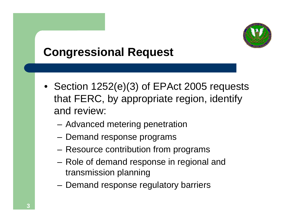

## **Congressional Request**

- Section 1252(e)(3) of EPAct 2005 requests that FERC, by appropriate region, identify and review:
	- and the state of the Advanced metering penetration
	- and the state of the Demand response programs
	- and the state of the Resource contribution from programs
	- and the state of the Role of demand response in regional and transmission planning
	- **Links of the Common** Demand response regulatory barriers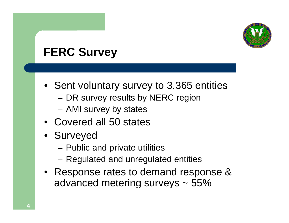

## **FERC Survey**

- Sent voluntary survey to 3,365 entities
	- –DR survey results by NERC region
	- **Links of the Common** AMI survey by states
- Covered all 50 states
- Surveyed
	- –Public and private utilities
	- **Links of the Common** Regulated and unregulated entities
- Response rates to demand response & advanced metering surveys ~ 55%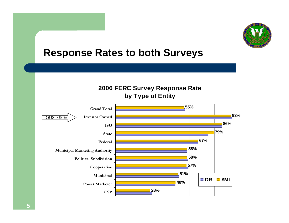

### **Response Rates to both Surveys**



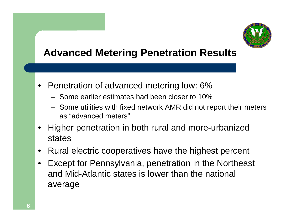

## **Advanced Metering Penetration Results**

- Penetration of advanced metering low: 6%
	- Some earlier estimates had been closer to 10%
	- – Some utilities with fixed network AMR did not report their meters as "advanced meters"
- • Higher penetration in both rural and more-urbanized states
- •Rural electric cooperatives have the highest percent
- • Except for Pennsylvania, penetration in the Northeast and Mid-Atlantic states is lower than the national average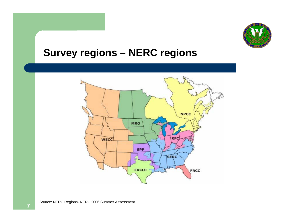

#### **Survey regions – NERC regions**

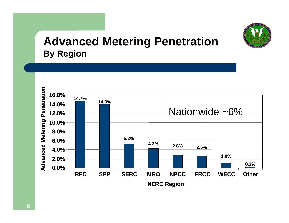

## **Advanced Metering Penetration By Region**

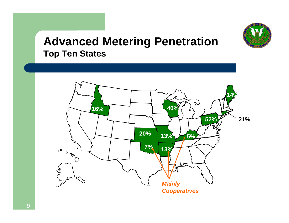

### **Advanced Metering Penetration Top Ten States**

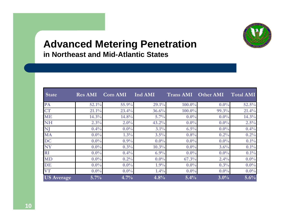

#### **Advanced Metering Penetration in Northeast and Mid-Atlantic States**

| <b>State</b>      | <b>Res AMI</b> | <b>Com AMI</b> | Ind AMI | <b>Trans AMI</b> | Other AMI | <b>Total AMI</b> |
|-------------------|----------------|----------------|---------|------------------|-----------|------------------|
| PA                | 52.1%          | 55.9%          | 29.1%   | $100.0\%$        | $0.0\%$   | 52.5%            |
| <b>CT</b>         | 21.1%          | 23.4%          | 36.6%   | $100.0\%$        | 99.3%     | 21.4%            |
| <b>ME</b>         | 14.3%          | 14.8%          | 5.7%    | $0.0\%$          | $0.0\%$   | 14.3%            |
| <b>NH</b>         | 2.3%           | 2.0%           | 43.2%   | $0.0\%$          | $0.0\%$   | 2.5%             |
| NJ                | 0.4%           | $0.0\%$        | 3.1%    | 6.5%             | $0.0\%$   | 0.4%             |
| MA                | $0.0\%$        | 1.3%           | 3.5%    | 0.8%             | 0.2%      | 0.2%             |
| <b>DC</b>         | $0.0\%$        | 0.9%           | $0.0\%$ | $0.0\%$          | $0.0\%$   | 0.1%             |
| NY                | $0.0\%$        | 0.3%           | 10.3%   | $0.0\%$          | 3.6%      | 0.1%             |
| <b>RI</b>         | $0.0\%$        | 0.4%           | 6.9%    | $0.0\%$          | $0.0\%$   | 0.1%             |
| <b>MD</b>         | $0.0\%$        | 0.2%           | $0.0\%$ | 67.3%            | 2.4%      | $0.0\%$          |
| DE                | $0.0\%$        | $0.0\%$        | 1.9%    | $0.0\%$          | 0.3%      | $0.0\%$          |
| <b>VT</b>         | $0.0\%$        | $0.0\%$        | 1.4%    | $0.0\%$          | $0.0\%$   | $0.0\%$          |
| <b>US</b> Average | $5.7\%$        | 4.7%           | 4.8%    | 5.4%             | $3.0\%$   | 5.6%             |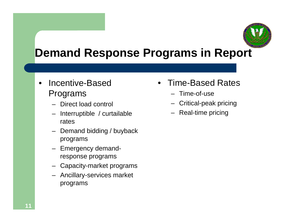

## **Demand Response Programs in Report**

- • Incentive-Based Programs
	- Direct load control
	- Interruptible / curtailable rates
	- Demand bidding / buyback programs
	- Emergency demandresponse programs
	- Capacity-market programs
	- Ancillary-services market programs
- Time-Based Rates
	- Time-of-use
	- Critical-peak pricing
	- Real-time pricing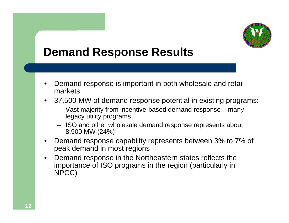

## **Demand Response Results**

- • Demand response is important in both wholesale and retail markets
- 37,500 MW of demand response potential in existing programs:
	- Vast majority from incentive-based demand response many legacy utility programs
	- ISO and other wholesale demand response represents about 8,900 MW (24%)
- • Demand response capability represents between 3% to 7% of peak demand in most regions
- $\bullet$  Demand response in the Northeastern states reflects the importance of ISO programs in the region (particularly in NPCC)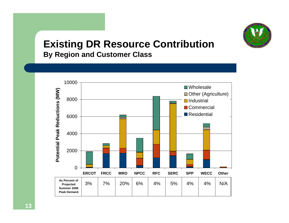

#### **Existing DR Resource Contribution By Region and Customer Class**

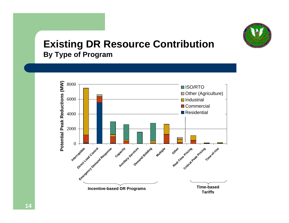

#### **Existing DR Resource Contribution By Type of Program**

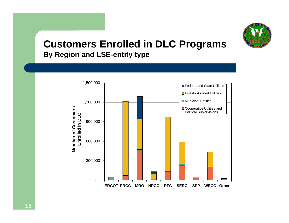

#### **Customers Enrolled in DLC Programs By Region and LSE-entity type**

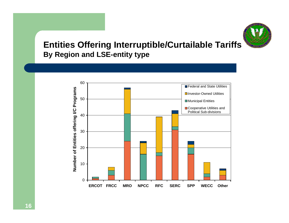

#### **Entities Offering Interruptible/Curtailable Tariffs By Region and LSE-entity type**

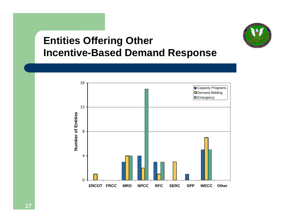

## **Entities Offering Other Incentive-Based Demand Response**

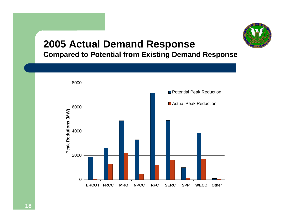

#### **2005 Actual Demand Response Compared to Potential from Existing Demand Response**

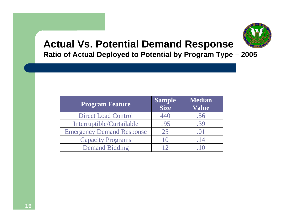

#### **Actual Vs. Potential Demand Response Ratio of Actual Deployed to Potential by Program Type – 2005**

| <b>Program Feature</b>           | <b>Sample</b><br><b>Size</b> | <b>Median</b><br><b>Value</b> |
|----------------------------------|------------------------------|-------------------------------|
| <b>Direct Load Control</b>       | 440                          | .56                           |
| Interruptible/Curtailable        | 195                          | .39                           |
| <b>Emergency Demand Response</b> | 25                           | .()                           |
| <b>Capacity Programs</b>         | $\vert$ ( )                  | .14                           |
| <b>Demand Bidding</b>            |                              |                               |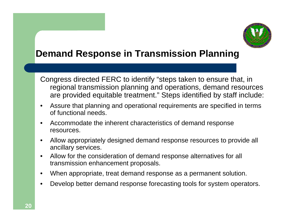

### **Demand Response in Transmission Planning**

Congress directed FERC to identify "steps taken to ensure that, in regional transmission planning and operations, demand resources are provided equitable treatment." Steps identified by staff include:

- • Assure that planning and operational requirements are specified in terms of functional needs.
- • Accommodate the inherent characteristics of demand response resources.
- • Allow appropriately designed demand response resources to provide all ancillary services.
- • Allow for the consideration of demand response alternatives for all transmission enhancement proposals.
- •When appropriate, treat demand response as a permanent solution.
- •Develop better demand response forecasting tools for system operators.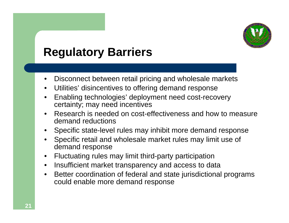

## **Regulatory Barriers**

- •Disconnect between retail pricing and wholesale markets
- •Utilities' disincentives to offering demand response
- • Enabling technologies' deployment need cost-recovery certainty; may need incentives
- • Research is needed on cost-effectiveness and how to measure demand reductions
- Specific state-level rules may inhibit more demand response
- • Specific retail and wholesale market rules may limit use of demand response
- •Fluctuating rules may limit third-party participation
- •Insufficient market transparency and access to data
- • Better coordination of federal and state jurisdictional programs could enable more demand response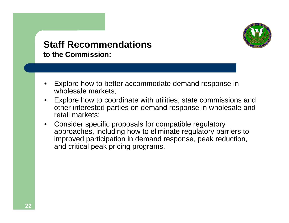

#### **Staff Recommendationsto the Commission:**

- • Explore how to better accommodate demand response in wholesale markets;
- • Explore how to coordinate with utilities, state commissions and other interested parties on demand response in wholesale and retail markets;
- • Consider specific proposals for compatible regulatory approaches, including how to eliminate regulatory barriers to improved participation in demand response, peak reduction, and critical peak pricing programs.